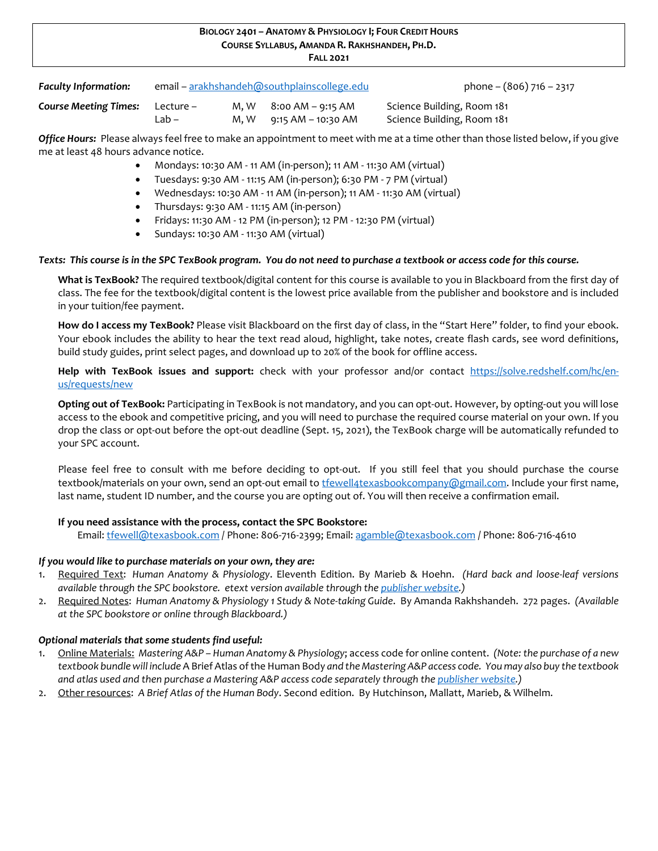#### **BIOLOGY 2401 – ANATOMY & PHYSIOLOGY I; FOUR CREDIT HOURS COURSE SYLLABUS, AMANDA R. RAKHSHANDEH, PH.D. FALL 2021**

*Faculty Information:* email – [arakhshandeh@southplainscollege.edu](mailto:arakhshandeh@southplainscollege.edu) phone – (806) 716 – 2317

| <b>Course Meeting Times:</b> Lecture – |        | $M, W$ 8:00 AM – 9:15 AM | Science Building, Room 181 |
|----------------------------------------|--------|--------------------------|----------------------------|
|                                        | _Lab – | M, W 9:15 AM – 10:30 AM  | Science Building, Room 181 |

*Office Hours:* Please always feel free to make an appointment to meet with me at a time other than those listed below, if you give me at least 48 hours advance notice.

- Mondays: 10:30 AM 11 AM (in-person); 11 AM 11:30 AM (virtual)
- Tuesdays: 9:30 AM 11:15 AM (in-person); 6:30 PM 7 PM (virtual)
- Wednesdays: 10:30 AM 11 AM (in-person); 11 AM 11:30 AM (virtual)
- Thursdays: 9:30 AM 11:15 AM (in-person)
- Fridays: 11:30 AM 12 PM (in-person); 12 PM 12:30 PM (virtual)
- Sundays: 10:30 AM 11:30 AM (virtual)

#### *Texts: This course is in the SPC TexBook program. You do not need to purchase a textbook or access code for this course.*

**What is TexBook?** The required textbook/digital content for this course is available to you in Blackboard from the first day of class. The fee for the textbook/digital content is the lowest price available from the publisher and bookstore and is included in your tuition/fee payment.

**How do I access my TexBook?** Please visit Blackboard on the first day of class, in the "Start Here" folder, to find your ebook. Your ebook includes the ability to hear the text read aloud, highlight, take notes, create flash cards, see word definitions, build study guides, print select pages, and download up to 20% of the book for offline access.

**Help with TexBook issues and support:** check with your professor and/or contact [https://solve.redshelf.com/hc/en](https://solve.redshelf.com/hc/en-us/requests/new)[us/requests/new](https://solve.redshelf.com/hc/en-us/requests/new) 

**Opting out of TexBook:** Participating in TexBook is not mandatory, and you can opt-out. However, by opting-out you will lose access to the ebook and competitive pricing, and you will need to purchase the required course material on your own. If you drop the class or opt-out before the opt-out deadline (Sept. 15, 2021), the TexBook charge will be automatically refunded to your SPC account.

Please feel free to consult with me before deciding to opt-out. If you still feel that you should purchase the course textbook/materials on your own, send an opt-out email to the ellatexasbookcompany@gmail.com. Include your first name, last name, student ID number, and the course you are opting out of. You will then receive a confirmation email.

#### **If you need assistance with the process, contact the SPC Bookstore:**

Email[: tfewell@texasbook.com](mailto:tfewell@texasbook.com) / Phone: 806-716-2399; Email: [agamble@texasbook.com](mailto:agamble@texasbook.com) / Phone: 806-716-4610

#### *If you would like to purchase materials on your own, they are:*

- 1. Required Text: *Human Anatomy & Physiology*. Eleventh Edition. By Marieb & Hoehn. *(Hard back and loose-leaf versions available through the SPC bookstore. etext version available through th[e publisher website.](https://www.pearson.com/))*
- 2. Required Notes: *Human Anatomy & Physiology 1 Study & Note-taking Guide*. By Amanda Rakhshandeh. 272 pages. *(Available at the SPC bookstore or online through Blackboard.)*

#### *Optional materials that some students find useful:*

- 1. Online Materials: *Mastering A&P Human Anatomy & Physiology*; access code for online content. *(Note: the purchase of a new textbook bundle will include* A Brief Atlas of the Human Body *and the Mastering A&P access code. You may also buy the textbook and atlas used and then purchase a Mastering A&P access code separately through th[e publisher website.](https://www.pearson.com/))*
- 2. Other resources: *A Brief Atlas of the Human Body*. Second edition. By Hutchinson, Mallatt, Marieb, & Wilhelm.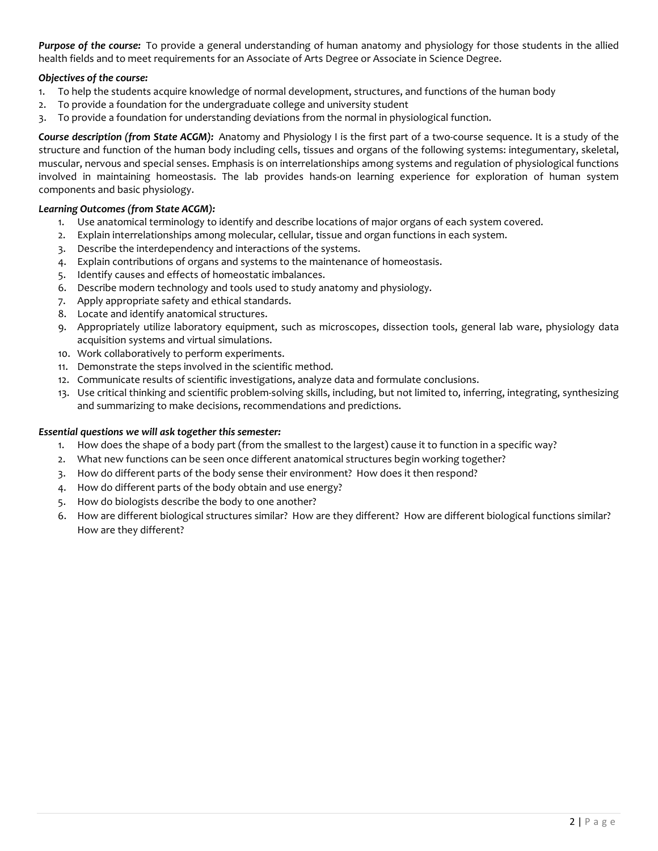*Purpose of the course:* To provide a general understanding of human anatomy and physiology for those students in the allied health fields and to meet requirements for an Associate of Arts Degree or Associate in Science Degree.

### *Objectives of the course:*

- 1. To help the students acquire knowledge of normal development, structures, and functions of the human body
- 2. To provide a foundation for the undergraduate college and university student
- 3. To provide a foundation for understanding deviations from the normal in physiological function.

*Course description (from State ACGM):* Anatomy and Physiology I is the first part of a two-course sequence. It is a study of the structure and function of the human body including cells, tissues and organs of the following systems: integumentary, skeletal, muscular, nervous and special senses. Emphasis is on interrelationships among systems and regulation of physiological functions involved in maintaining homeostasis. The lab provides hands-on learning experience for exploration of human system components and basic physiology.

## *Learning Outcomes (from State ACGM):*

- 1. Use anatomical terminology to identify and describe locations of major organs of each system covered.
- 2. Explain interrelationships among molecular, cellular, tissue and organ functions in each system.
- 3. Describe the interdependency and interactions of the systems.
- 4. Explain contributions of organs and systems to the maintenance of homeostasis.
- 5. Identify causes and effects of homeostatic imbalances.
- 6. Describe modern technology and tools used to study anatomy and physiology.
- 7. Apply appropriate safety and ethical standards.
- 8. Locate and identify anatomical structures.
- 9. Appropriately utilize laboratory equipment, such as microscopes, dissection tools, general lab ware, physiology data acquisition systems and virtual simulations.
- 10. Work collaboratively to perform experiments.
- 11. Demonstrate the steps involved in the scientific method.
- 12. Communicate results of scientific investigations, analyze data and formulate conclusions.
- 13. Use critical thinking and scientific problem-solving skills, including, but not limited to, inferring, integrating, synthesizing and summarizing to make decisions, recommendations and predictions.

### *Essential questions we will ask together this semester:*

- 1. How does the shape of a body part (from the smallest to the largest) cause it to function in a specific way?
- 2. What new functions can be seen once different anatomical structures begin working together?
- 3. How do different parts of the body sense their environment? How does it then respond?
- 4. How do different parts of the body obtain and use energy?
- 5. How do biologists describe the body to one another?
- 6. How are different biological structures similar? How are they different? How are different biological functions similar? How are they different?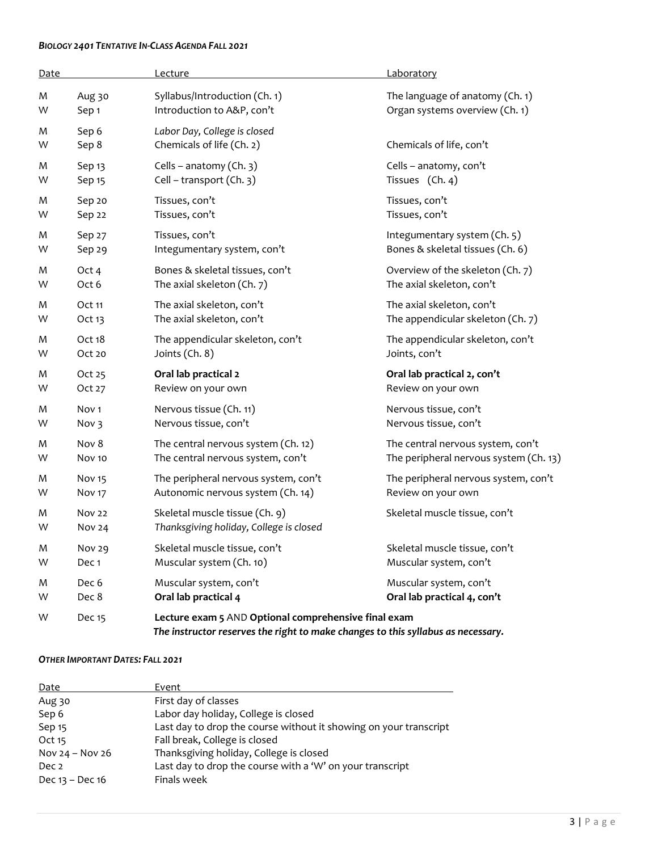#### *BIOLOGY 2401 TENTATIVE IN-CLASS AGENDA FALL 2021*

| Date |                   | Lecture                                                                                                                                  | Laboratory                             |
|------|-------------------|------------------------------------------------------------------------------------------------------------------------------------------|----------------------------------------|
| M    | Aug 30            | Syllabus/Introduction (Ch. 1)                                                                                                            | The language of anatomy (Ch. 1)        |
| W    | Sep <sub>1</sub>  | Introduction to A&P, con't                                                                                                               | Organ systems overview (Ch. 1)         |
| M    | Sep 6             | Labor Day, College is closed                                                                                                             | Chemicals of life, con't               |
| W    | Sep 8             | Chemicals of life (Ch. 2)                                                                                                                |                                        |
| M    | Sep <sub>13</sub> | Cells - anatomy (Ch. 3)                                                                                                                  | Cells - anatomy, con't                 |
| W    | Sep 15            | Cell - transport (Ch. 3)                                                                                                                 | Tissues (Ch. 4)                        |
| M    | Sep 20            | Tissues, con't                                                                                                                           | Tissues, con't                         |
| W    | Sep 22            | Tissues, con't                                                                                                                           | Tissues, con't                         |
| M    | Sep 27            | Tissues, con't                                                                                                                           | Integumentary system (Ch. 5)           |
| W    | Sep 29            | Integumentary system, con't                                                                                                              | Bones & skeletal tissues (Ch. 6)       |
| M    | Oct 4             | Bones & skeletal tissues, con't                                                                                                          | Overview of the skeleton (Ch. 7)       |
| W    | Oct 6             | The axial skeleton (Ch. 7)                                                                                                               | The axial skeleton, con't              |
| M    | Oct 11            | The axial skeleton, con't                                                                                                                | The axial skeleton, con't              |
| W    | Oct 13            | The axial skeleton, con't                                                                                                                | The appendicular skeleton (Ch. 7)      |
| M    | Oct 18            | The appendicular skeleton, con't                                                                                                         | The appendicular skeleton, con't       |
| W    | Oct 20            | Joints (Ch. 8)                                                                                                                           | Joints, con't                          |
| M    | Oct 25            | Oral lab practical 2                                                                                                                     | Oral lab practical 2, con't            |
| W    | Oct 27            | Review on your own                                                                                                                       | Review on your own                     |
| M    | Nov <sub>1</sub>  | Nervous tissue (Ch. 11)                                                                                                                  | Nervous tissue, con't                  |
| W    | Nov 3             | Nervous tissue, con't                                                                                                                    | Nervous tissue, con't                  |
| M    | Nov 8             | The central nervous system (Ch. 12)                                                                                                      | The central nervous system, con't      |
| W    | <b>Nov 10</b>     | The central nervous system, con't                                                                                                        | The peripheral nervous system (Ch. 13) |
| M    | Nov <sub>15</sub> | The peripheral nervous system, con't                                                                                                     | The peripheral nervous system, con't   |
| W    | Nov <sub>17</sub> | Autonomic nervous system (Ch. 14)                                                                                                        | Review on your own                     |
| M    | <b>Nov 22</b>     | Skeletal muscle tissue (Ch. 9)                                                                                                           | Skeletal muscle tissue, con't          |
| W    | <b>Nov 24</b>     | Thanksgiving holiday, College is closed                                                                                                  |                                        |
| M    | <b>Nov 29</b>     | Skeletal muscle tissue, con't                                                                                                            | Skeletal muscle tissue, con't          |
| W    | Dec <sub>1</sub>  | Muscular system (Ch. 10)                                                                                                                 | Muscular system, con't                 |
| M    | Dec 6             | Muscular system, con't                                                                                                                   | Muscular system, con't                 |
| W    | Dec 8             | Oral lab practical 4                                                                                                                     | Oral lab practical 4, con't            |
| W    | Dec 15            | Lecture exam 5 AND Optional comprehensive final exam<br>The instructor reserves the right to make changes to this syllabus as necessary. |                                        |

#### *OTHER IMPORTANT DATES: FALL 2021*

| Date                | Event                                                             |
|---------------------|-------------------------------------------------------------------|
| Aug 30              | First day of classes                                              |
| Sep 6               | Labor day holiday, College is closed                              |
| Sep 15              | Last day to drop the course without it showing on your transcript |
| Oct 15              | Fall break, College is closed                                     |
| Nov $24 -$ Nov $26$ | Thanksgiving holiday, College is closed                           |
| Dec 2               | Last day to drop the course with a 'W' on your transcript         |
| Dec 13 - Dec 16     | Finals week                                                       |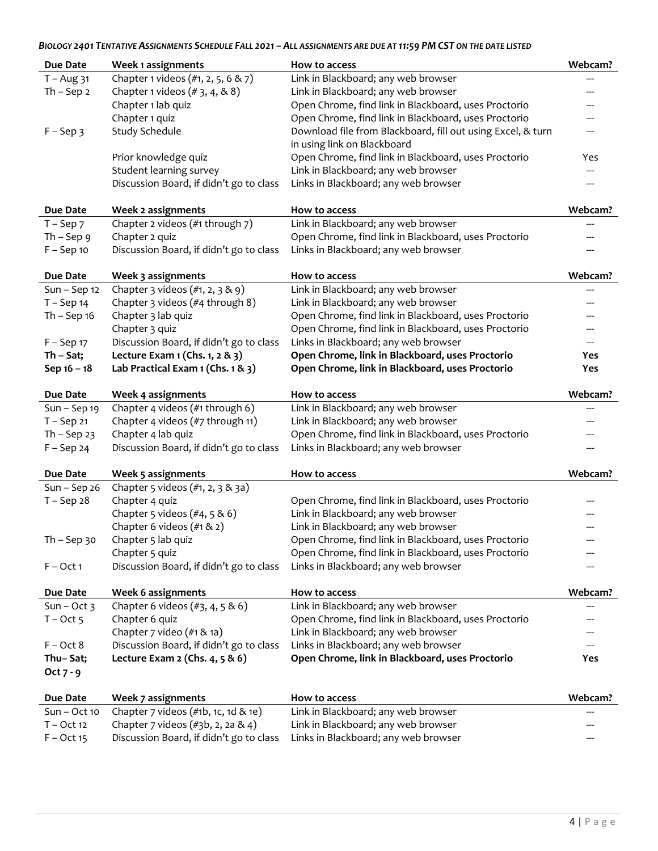# *BIOLOGY 2401 TENTATIVE ASSIGNMENTS SCHEDULE FALL 2021 – ALL ASSIGNMENTS ARE DUE AT 11:59 PM CST ON THE DATE LISTED*

| Due Date        | Week 1 assignments                        | How to access                                               | Webcam? |
|-----------------|-------------------------------------------|-------------------------------------------------------------|---------|
| $T - Aug$ 31    | Chapter 1 videos (#1, 2, 5, 6 & 7)        | Link in Blackboard; any web browser                         |         |
| $Th - Sep2$     | Chapter 1 videos $(# 3, 4, 8, 8)$         | Link in Blackboard; any web browser                         | ---     |
|                 | Chapter 1 lab quiz                        | Open Chrome, find link in Blackboard, uses Proctorio        |         |
|                 | Chapter 1 quiz                            | Open Chrome, find link in Blackboard, uses Proctorio        |         |
| $F - Sep$ 3     | Study Schedule                            | Download file from Blackboard, fill out using Excel, & turn |         |
|                 |                                           | in using link on Blackboard                                 |         |
|                 | Prior knowledge quiz                      | Open Chrome, find link in Blackboard, uses Proctorio        | Yes     |
|                 | Student learning survey                   | Link in Blackboard; any web browser                         |         |
|                 | Discussion Board, if didn't go to class   | Links in Blackboard; any web browser                        | ---     |
| Due Date        | Week 2 assignments                        | How to access                                               | Webcam? |
| $T -$ Sep $7$   | Chapter 2 videos (#1 through 7)           | Link in Blackboard; any web browser                         |         |
| $Th - Sep$ 9    | Chapter 2 quiz                            | Open Chrome, find link in Blackboard, uses Proctorio        |         |
| $F -$ Sep 10    | Discussion Board, if didn't go to class   | Links in Blackboard; any web browser                        |         |
|                 |                                           |                                                             |         |
| Due Date        | Week 3 assignments                        | How to access                                               | Webcam? |
| $Sun - Sep 12$  | Chapter 3 videos (#1, 2, 3 & 9)           | Link in Blackboard; any web browser                         |         |
| $T -$ Sep 14    | Chapter 3 videos (#4 through 8)           | Link in Blackboard; any web browser                         | ---     |
| Th $-$ Sep 16   | Chapter 3 lab quiz                        | Open Chrome, find link in Blackboard, uses Proctorio        |         |
|                 | Chapter 3 quiz                            | Open Chrome, find link in Blackboard, uses Proctorio        |         |
| $F -$ Sep 17    | Discussion Board, if didn't go to class   | Links in Blackboard; any web browser                        | ---     |
| $Th - Sat;$     | Lecture Exam 1 (Chs. 1, 2 & 3)            | Open Chrome, link in Blackboard, uses Proctorio             | Yes     |
| Sep 16 - 18     | Lab Practical Exam 1 (Chs. 1 & 3)         | Open Chrome, link in Blackboard, uses Proctorio             | Yes     |
|                 |                                           |                                                             |         |
| Due Date        | Week 4 assignments                        | How to access                                               | Webcam? |
| $Sun - Sep 19$  | Chapter 4 videos (#1 through 6)           | Link in Blackboard; any web browser                         |         |
| $T -$ Sep 21    | Chapter 4 videos (#7 through 11)          | Link in Blackboard; any web browser                         |         |
| Th $-$ Sep 23   | Chapter 4 lab quiz                        | Open Chrome, find link in Blackboard, uses Proctorio        |         |
| $F -$ Sep 24    | Discussion Board, if didn't go to class   | Links in Blackboard; any web browser                        |         |
| Due Date        | Week 5 assignments                        | How to access                                               | Webcam? |
| $Sun - Sep26$   | Chapter 5 videos (#1, 2, 3 & 3a)          |                                                             |         |
| $T -$ Sep 28    | Chapter 4 quiz                            | Open Chrome, find link in Blackboard, uses Proctorio        |         |
|                 | Chapter 5 videos (#4, 5 & 6)              | Link in Blackboard; any web browser                         |         |
|                 | Chapter 6 videos $(\#1 \& 2)$             | Link in Blackboard; any web browser                         |         |
| $Th - Sep$ 30   |                                           | Open Chrome, find link in Blackboard, uses Proctorio        |         |
|                 | Chapter 5 lab quiz<br>Chapter 5 quiz      | Open Chrome, find link in Blackboard, uses Proctorio        |         |
| $F - Oct 1$     | Discussion Board, if didn't go to class   | Links in Blackboard; any web browser                        |         |
|                 |                                           |                                                             |         |
| <b>Due Date</b> | <b>Week 6 assignments</b>                 | How to access                                               | Webcam? |
| $Sun - Oct$ 3   | Chapter 6 videos $(\#3, 4, 5 \& 6)$       | Link in Blackboard; any web browser                         |         |
| $T - Oct 5$     | Chapter 6 quiz                            | Open Chrome, find link in Blackboard, uses Proctorio        |         |
|                 | Chapter 7 video (#1 & 1a)                 | Link in Blackboard; any web browser                         |         |
| $F - Oct 8$     | Discussion Board, if didn't go to class   | Links in Blackboard; any web browser                        |         |
| Thu-Sat;        | Lecture Exam $2$ (Chs. $4, 5$ & 6)        | Open Chrome, link in Blackboard, uses Proctorio             | Yes     |
| Oct $7 - 9$     |                                           |                                                             |         |
|                 |                                           |                                                             |         |
| Due Date        | Week 7 assignments                        | How to access                                               | Webcam? |
| $Sun - Oct 10$  | Chapter $7$ videos $(\#1b, 1c, 1d \& 1e)$ | Link in Blackboard; any web browser                         |         |
| $T - Oct 12$    | Chapter 7 videos (#3b, 2, 2a & 4)         | Link in Blackboard; any web browser                         |         |
| $F - Oct$ 15    | Discussion Board, if didn't go to class   | Links in Blackboard; any web browser                        |         |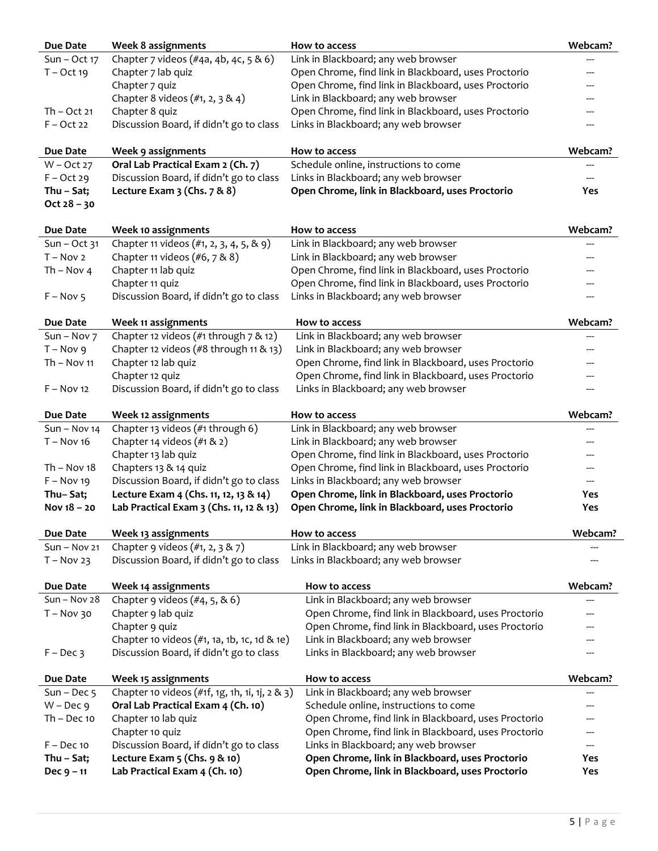| Due Date        | Week 8 assignments                             | How to access                                        | Webcam? |
|-----------------|------------------------------------------------|------------------------------------------------------|---------|
| $Sun - Oct 17$  | Chapter 7 videos (#4a, 4b, 4c, 5 & 6)          | Link in Blackboard; any web browser                  |         |
| $T - Oct$ 19    | Chapter 7 lab quiz                             | Open Chrome, find link in Blackboard, uses Proctorio |         |
|                 | Chapter 7 quiz                                 | Open Chrome, find link in Blackboard, uses Proctorio |         |
|                 | Chapter 8 videos (#1, 2, 3 & 4)                | Link in Blackboard; any web browser                  |         |
| $Th - Oct 21$   | Chapter 8 quiz                                 | Open Chrome, find link in Blackboard, uses Proctorio |         |
| $F - Oct 22$    | Discussion Board, if didn't go to class        | Links in Blackboard; any web browser                 |         |
| Due Date        | Week 9 assignments                             | How to access                                        | Webcam? |
| $W - Oct 27$    | Oral Lab Practical Exam 2 (Ch. 7)              | Schedule online, instructions to come                |         |
| $F - Oct 29$    | Discussion Board, if didn't go to class        | Links in Blackboard; any web browser                 |         |
| Thu - Sat;      | Lecture Exam $3$ (Chs. $7 & 8 & 8$ )           | Open Chrome, link in Blackboard, uses Proctorio      | Yes     |
| $Oct 28 - 30$   |                                                |                                                      |         |
| Due Date        | Week 10 assignments                            | How to access                                        | Webcam? |
| $Sun - Oct$ 31  | Chapter 11 videos (#1, 2, 3, 4, 5, & 9)        | Link in Blackboard; any web browser                  |         |
| $T - Nov 2$     | Chapter 11 videos (#6, 7 & 8)                  | Link in Blackboard; any web browser                  |         |
| Th – Nov 4      | Chapter 11 lab quiz                            | Open Chrome, find link in Blackboard, uses Proctorio |         |
|                 | Chapter 11 quiz                                | Open Chrome, find link in Blackboard, uses Proctorio |         |
| $F - Nov 5$     | Discussion Board, if didn't go to class        | Links in Blackboard; any web browser                 |         |
| <b>Due Date</b> | Week 11 assignments                            | How to access                                        | Webcam? |
| $Sun - Nov 7$   | Chapter 12 videos (#1 through 7 & 12)          | Link in Blackboard; any web browser                  |         |
| $T - Nov 9$     | Chapter 12 videos (#8 through 11 & 13)         | Link in Blackboard; any web browser                  |         |
| $Th - Nov 11$   | Chapter 12 lab quiz                            | Open Chrome, find link in Blackboard, uses Proctorio |         |
|                 | Chapter 12 quiz                                | Open Chrome, find link in Blackboard, uses Proctorio |         |
| $F - Nov 12$    | Discussion Board, if didn't go to class        | Links in Blackboard; any web browser                 |         |
| Due Date        | Week 12 assignments                            | How to access                                        | Webcam? |
| $Sun - Nov 14$  | Chapter 13 videos (#1 through 6)               | Link in Blackboard; any web browser                  |         |
| $T - Nov 16$    | Chapter 14 videos (#1 & 2)                     | Link in Blackboard; any web browser                  |         |
|                 | Chapter 13 lab quiz                            | Open Chrome, find link in Blackboard, uses Proctorio |         |
| $Th - Nov 18$   | Chapters 13 & 14 quiz                          | Open Chrome, find link in Blackboard, uses Proctorio |         |
| $F - Nov 19$    | Discussion Board, if didn't go to class        | Links in Blackboard; any web browser                 |         |
| Thu-Sat;        | Lecture Exam 4 (Chs. 11, 12, 13 & 14)          | Open Chrome, link in Blackboard, uses Proctorio      | Yes     |
| Nov $18 - 20$   | Lab Practical Exam 3 (Chs. 11, 12 & 13)        | Open Chrome, link in Blackboard, uses Proctorio      | Yes     |
| <b>Due Date</b> | Week 13 assignments                            | How to access                                        | Webcam? |
| $Sun - Nov 21$  | Chapter 9 videos $(\#1, 2, 3 \& 7)$            | Link in Blackboard; any web browser                  |         |
| $T - Nov 23$    | Discussion Board, if didn't go to class        | Links in Blackboard; any web browser                 |         |
| <b>Due Date</b> | Week 14 assignments                            | How to access                                        | Webcam? |
| $Sun - Nov 28$  | Chapter 9 videos $(\#4, 5, \& 6)$              | Link in Blackboard; any web browser                  | ---     |
| $T - Nov 30$    | Chapter 9 lab quiz                             | Open Chrome, find link in Blackboard, uses Proctorio |         |
|                 | Chapter 9 quiz                                 | Open Chrome, find link in Blackboard, uses Proctorio |         |
|                 | Chapter 10 videos (#1, 1a, 1b, 1c, 1d & 1e)    | Link in Blackboard; any web browser                  |         |
| $F - Dec$ 3     | Discussion Board, if didn't go to class        | Links in Blackboard; any web browser                 |         |
| Due Date        | Week 15 assignments                            | How to access                                        | Webcam? |
| Sun – Dec $5$   | Chapter 10 videos (#1f, 1g, 1h, 1i, 1j, 2 & 3) | Link in Blackboard; any web browser                  |         |
| $W - Dec 9$     | Oral Lab Practical Exam 4 (Ch. 10)             | Schedule online, instructions to come                |         |
| $Th - Dec 10$   | Chapter 10 lab quiz                            | Open Chrome, find link in Blackboard, uses Proctorio |         |
|                 | Chapter 10 quiz                                | Open Chrome, find link in Blackboard, uses Proctorio |         |
| $F - Dec 10$    | Discussion Board, if didn't go to class        | Links in Blackboard; any web browser                 |         |
| Thu - Sat;      | Lecture Exam $5$ (Chs. $9$ & 10)               | Open Chrome, link in Blackboard, uses Proctorio      | Yes     |
| $Dec 9 - 11$    | Lab Practical Exam 4 (Ch. 10)                  | Open Chrome, link in Blackboard, uses Proctorio      | Yes     |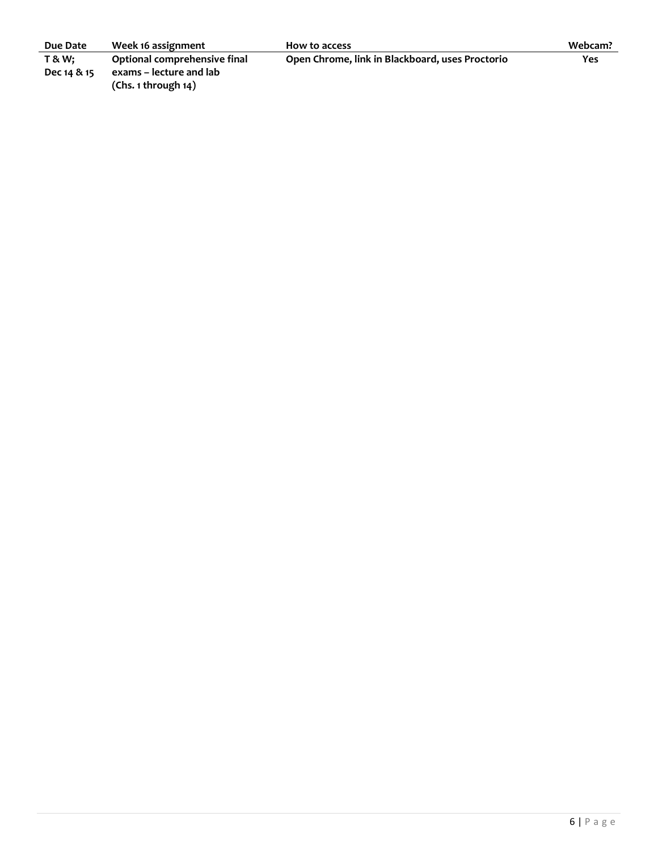| Due Date       | Week 16 assignment           | How to access                                   | Webcam? |
|----------------|------------------------------|-------------------------------------------------|---------|
| <b>T&amp;W</b> | Optional comprehensive final | Open Chrome, link in Blackboard, uses Proctorio | Yes     |
| Dec 14 & 15    | exams – lecture and lab      |                                                 |         |
|                | (Chs. 1 through 14)          |                                                 |         |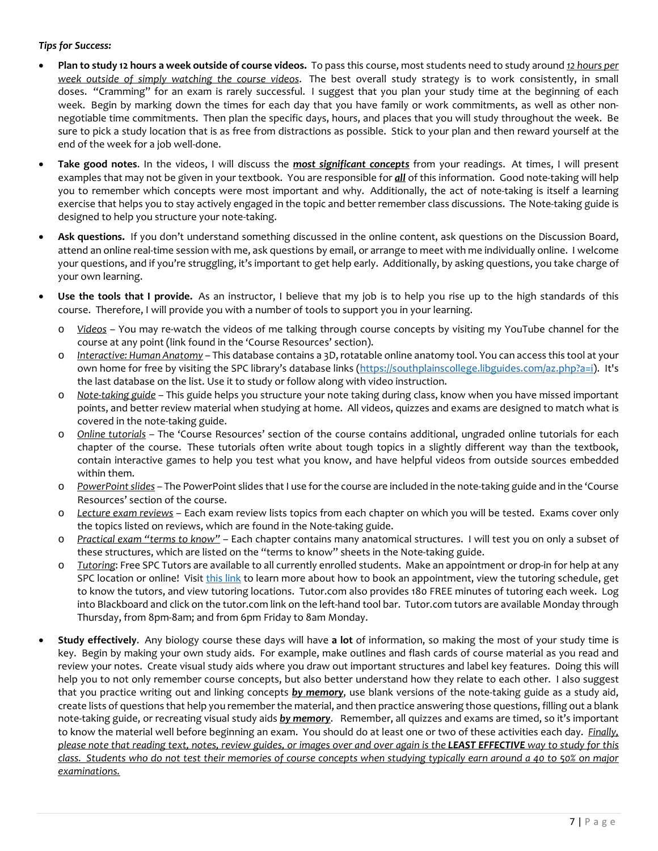### *Tips for Success:*

- **Plan to study 12 hours a week outside of course videos.** To pass this course, most students need to study around *12 hours per week outside of simply watching the course videos*. The best overall study strategy is to work consistently, in small doses. "Cramming" for an exam is rarely successful. I suggest that you plan your study time at the beginning of each week. Begin by marking down the times for each day that you have family or work commitments, as well as other nonnegotiable time commitments. Then plan the specific days, hours, and places that you will study throughout the week. Be sure to pick a study location that is as free from distractions as possible. Stick to your plan and then reward yourself at the end of the week for a job well-done.
- **Take good notes**. In the videos, I will discuss the *most significant concepts* from your readings. At times, I will present examples that may not be given in your textbook. You are responsible for *all* of this information. Good note-taking will help you to remember which concepts were most important and why. Additionally, the act of note-taking is itself a learning exercise that helps you to stay actively engaged in the topic and better remember class discussions. The Note-taking guide is designed to help you structure your note-taking.
- **Ask questions.** If you don't understand something discussed in the online content, ask questions on the Discussion Board, attend an online real-time session with me, ask questions by email, or arrange to meet with me individually online. I welcome your questions, and if you're struggling, it's important to get help early. Additionally, by asking questions, you take charge of your own learning.
- **Use the tools that I provide.** As an instructor, I believe that my job is to help you rise up to the high standards of this course. Therefore, I will provide you with a number of tools to support you in your learning.
	- o *Videos* You may re-watch the videos of me talking through course concepts by visiting my YouTube channel for the course at any point (link found in the 'Course Resources' section).
	- o *Interactive: Human Anatomy* This database contains a 3D, rotatable online anatomy tool. You can access this tool at your own home for free by visiting the SPC library's database links [\(https://southplainscollege.libguides.com/az.php?a=i\)](https://southplainscollege.libguides.com/az.php?a=i). It's the last database on the list. Use it to study or follow along with video instruction.
	- o *Note-taking guide* This guide helps you structure your note taking during class, know when you have missed important points, and better review material when studying at home. All videos, quizzes and exams are designed to match what is covered in the note-taking guide.
	- o *Online tutorials* The 'Course Resources' section of the course contains additional, ungraded online tutorials for each chapter of the course. These tutorials often write about tough topics in a slightly different way than the textbook, contain interactive games to help you test what you know, and have helpful videos from outside sources embedded within them.
	- o *PowerPoint slides* The PowerPoint slides that I use for the course are included in the note-taking guide and in the 'Course Resources' section of the course.
	- o *Lecture exam reviews* Each exam review lists topics from each chapter on which you will be tested. Exams cover only the topics listed on reviews, which are found in the Note-taking guide.
	- o *Practical exam "terms to know"* Each chapter contains many anatomical structures. I will test you on only a subset of these structures, which are listed on the "terms to know" sheets in the Note-taking guide.
	- o *Tutoring*: Free SPC Tutors are available to all currently enrolled students. Make an appointment or drop-in for help at any SPC location or online! Visit [this link](http://www.southplainscollege.edu/exploreprograms/artsandsciences/teacheredtutoring.php) to learn more about how to book an appointment, view the tutoring schedule, get to know the tutors, and view tutoring locations. Tutor.com also provides 180 FREE minutes of tutoring each week. Log into Blackboard and click on the tutor.com link on the left-hand tool bar. Tutor.com tutors are available Monday through Thursday, from 8pm-8am; and from 6pm Friday to 8am Monday.
- **Study effectively**. Any biology course these days will have **a lot** of information, so making the most of your study time is key. Begin by making your own study aids. For example, make outlines and flash cards of course material as you read and review your notes. Create visual study aids where you draw out important structures and label key features. Doing this will help you to not only remember course concepts, but also better understand how they relate to each other. I also suggest that you practice writing out and linking concepts *by memory*, use blank versions of the note-taking guide as a study aid, create lists of questions that help you remember the material, and then practice answering those questions, filling out a blank note-taking guide, or recreating visual study aids *by memory*. Remember, all quizzes and exams are timed, so it's important to know the material well before beginning an exam. You should do at least one or two of these activities each day. *Finally, please note that reading text, notes, review guides, or images over and over again is the LEAST EFFECTIVE way to study for this class. Students who do not test their memories of course concepts when studying typically earn around a 40 to 50% on major examinations.*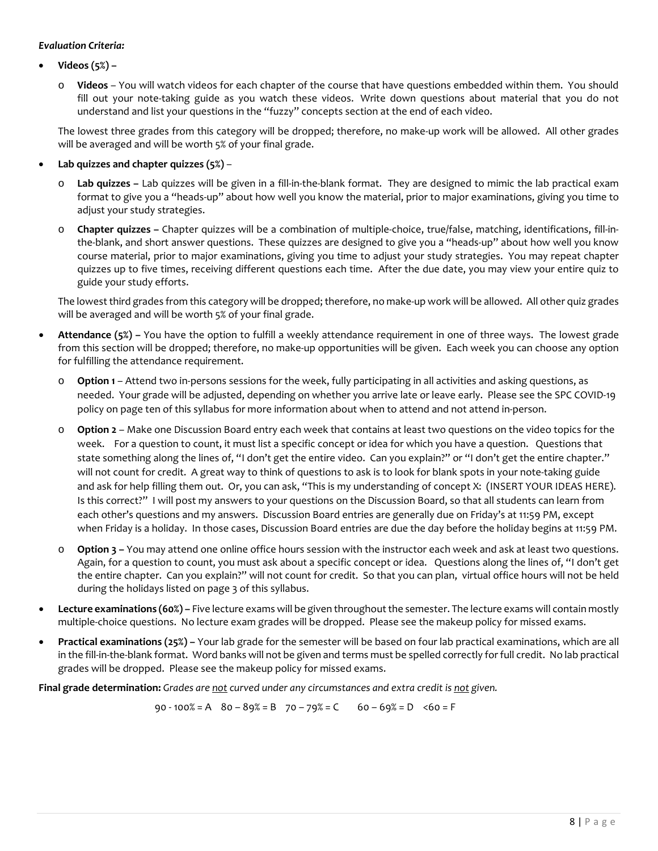#### *Evaluation Criteria:*

- **Videos (5%)** 
	- o **Videos** You will watch videos for each chapter of the course that have questions embedded within them. You should fill out your note-taking guide as you watch these videos. Write down questions about material that you do not understand and list your questions in the "fuzzy" concepts section at the end of each video.

The lowest three grades from this category will be dropped; therefore, no make-up work will be allowed. All other grades will be averaged and will be worth 5% of your final grade.

- **Lab quizzes and chapter quizzes (5%)**
	- Lab quizzes Lab quizzes will be given in a fill-in-the-blank format. They are designed to mimic the lab practical exam format to give you a "heads-up" about how well you know the material, prior to major examinations, giving you time to adjust your study strategies.
	- **Chapter quizzes –** Chapter quizzes will be a combination of multiple-choice, true/false, matching, identifications, fill-inthe-blank, and short answer questions. These quizzes are designed to give you a "heads-up" about how well you know course material, prior to major examinations, giving you time to adjust your study strategies. You may repeat chapter quizzes up to five times, receiving different questions each time. After the due date, you may view your entire quiz to guide your study efforts.

The lowest third grades from this category will be dropped; therefore, no make-up work will be allowed. All other quiz grades will be averaged and will be worth 5% of your final grade.

- **Attendance (5%) –** You have the option to fulfill a weekly attendance requirement in one of three ways. The lowest grade from this section will be dropped; therefore, no make-up opportunities will be given. Each week you can choose any option for fulfilling the attendance requirement.
	- o **Option 1** Attend two in-persons sessions for the week, fully participating in all activities and asking questions, as needed. Your grade will be adjusted, depending on whether you arrive late or leave early. Please see the SPC COVID-19 policy on page ten of this syllabus for more information about when to attend and not attend in-person.
	- o **Option 2** Make one Discussion Board entry each week that contains at least two questions on the video topics for the week. For a question to count, it must list a specific concept or idea for which you have a question. Questions that state something along the lines of, "I don't get the entire video. Can you explain?" or "I don't get the entire chapter." will not count for credit. A great way to think of questions to ask is to look for blank spots in your note-taking guide and ask for help filling them out. Or, you can ask, "This is my understanding of concept X: (INSERT YOUR IDEAS HERE). Is this correct?" I will post my answers to your questions on the Discussion Board, so that all students can learn from each other's questions and my answers. Discussion Board entries are generally due on Friday's at 11:59 PM, except when Friday is a holiday. In those cases, Discussion Board entries are due the day before the holiday begins at 11:59 PM.
	- o **Option 3 –** You may attend one online office hours session with the instructor each week and ask at least two questions. Again, for a question to count, you must ask about a specific concept or idea. Questions along the lines of, "I don't get the entire chapter. Can you explain?" will not count for credit. So that you can plan, virtual office hours will not be held during the holidays listed on page 3 of this syllabus.
- **Lecture examinations (60%) –** Five lecture exams will be given throughout the semester. The lecture exams will contain mostly multiple-choice questions. No lecture exam grades will be dropped. Please see the makeup policy for missed exams.
- **Practical examinations (25%)** Your lab grade for the semester will be based on four lab practical examinations, which are all in the fill-in-the-blank format. Word banks will not be given and terms must be spelled correctly for full credit. No lab practical grades will be dropped. Please see the makeup policy for missed exams.

**Final grade determination:** *Grades are not curved under any circumstances and extra credit is not given.*

90 - 100% = A80 – 89% = B70 – 79% = C60 – 69% = D<60 = F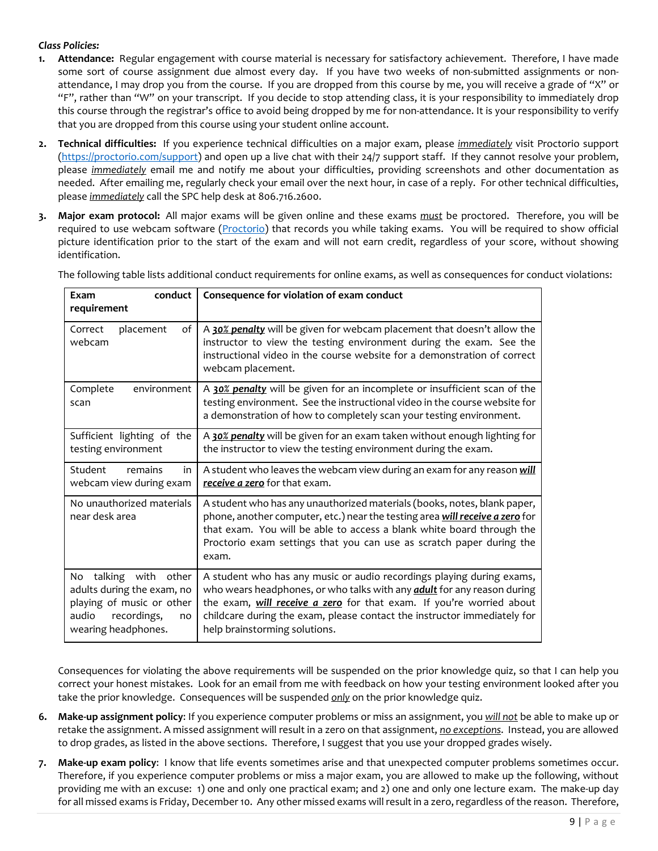### *Class Policies:*

- **1. Attendance:** Regular engagement with course material is necessary for satisfactory achievement. Therefore, I have made some sort of course assignment due almost every day. If you have two weeks of non-submitted assignments or nonattendance, I may drop you from the course. If you are dropped from this course by me, you will receive a grade of "X" or "F", rather than "W" on your transcript. If you decide to stop attending class, it is your responsibility to immediately drop this course through the registrar's office to avoid being dropped by me for non-attendance. It is your responsibility to verify that you are dropped from this course using your student online account.
- **2. Technical difficulties:** If you experience technical difficulties on a major exam, please *immediately* visit Proctorio support [\(https://proctorio.com/support\)](https://proctorio.com/support) and open up a live chat with their 24/7 support staff. If they cannot resolve your problem, please *immediately* email me and notify me about your difficulties, providing screenshots and other documentation as needed. After emailing me, regularly check your email over the next hour, in case of a reply. For other technical difficulties, please *immediately* call the SPC help desk at 806.716.2600.
- **3. Major exam protocol:** All major exams will be given online and these exams *must* be proctored. Therefore, you will be required to use webcam software [\(Proctorio\)](https://proctorio.com/support) that records you while taking exams. You will be required to show official picture identification prior to the start of the exam and will not earn credit, regardless of your score, without showing identification.

| conduct<br>Exam<br>requirement                                                                                                        | Consequence for violation of exam conduct                                                                                                                                                                                                                                                                                                    |
|---------------------------------------------------------------------------------------------------------------------------------------|----------------------------------------------------------------------------------------------------------------------------------------------------------------------------------------------------------------------------------------------------------------------------------------------------------------------------------------------|
| Correct<br>placement<br>of<br>webcam                                                                                                  | A 30% penalty will be given for webcam placement that doesn't allow the<br>instructor to view the testing environment during the exam. See the<br>instructional video in the course website for a demonstration of correct<br>webcam placement.                                                                                              |
| Complete<br>environment<br>scan                                                                                                       | A 30% penalty will be given for an incomplete or insufficient scan of the<br>testing environment. See the instructional video in the course website for<br>a demonstration of how to completely scan your testing environment.                                                                                                               |
| Sufficient lighting of the<br>testing environment                                                                                     | A 30% penalty will be given for an exam taken without enough lighting for<br>the instructor to view the testing environment during the exam.                                                                                                                                                                                                 |
| Student<br>remains<br>in<br>webcam view during exam                                                                                   | A student who leaves the webcam view during an exam for any reason will<br>receive a zero for that exam.                                                                                                                                                                                                                                     |
| No unauthorized materials<br>near desk area                                                                                           | A student who has any unauthorized materials (books, notes, blank paper,<br>phone, another computer, etc.) near the testing area will receive a zero for<br>that exam. You will be able to access a blank white board through the<br>Proctorio exam settings that you can use as scratch paper during the<br>exam.                           |
| talking with other<br>No<br>adults during the exam, no<br>playing of music or other<br>audio recordings,<br>no<br>wearing headphones. | A student who has any music or audio recordings playing during exams,<br>who wears headphones, or who talks with any <i>adult</i> for any reason during<br>the exam, will receive a zero for that exam. If you're worried about<br>childcare during the exam, please contact the instructor immediately for<br>help brainstorming solutions. |

The following table lists additional conduct requirements for online exams, as well as consequences for conduct violations:

Consequences for violating the above requirements will be suspended on the prior knowledge quiz, so that I can help you correct your honest mistakes. Look for an email from me with feedback on how your testing environment looked after you take the prior knowledge. Consequences will be suspended *only* on the prior knowledge quiz.

- **6. Make-up assignment policy**: If you experience computer problems or miss an assignment, you *will not* be able to make up or retake the assignment. A missed assignment will result in a zero on that assignment, *no exceptions*. Instead, you are allowed to drop grades, as listed in the above sections. Therefore, I suggest that you use your dropped grades wisely.
- **7. Make-up exam policy**: I know that life events sometimes arise and that unexpected computer problems sometimes occur. Therefore, if you experience computer problems or miss a major exam, you are allowed to make up the following, without providing me with an excuse: 1) one and only one practical exam; and 2) one and only one lecture exam. The make-up day for all missed exams is Friday, December 10. Any other missed exams will result in a zero, regardless of the reason. Therefore,